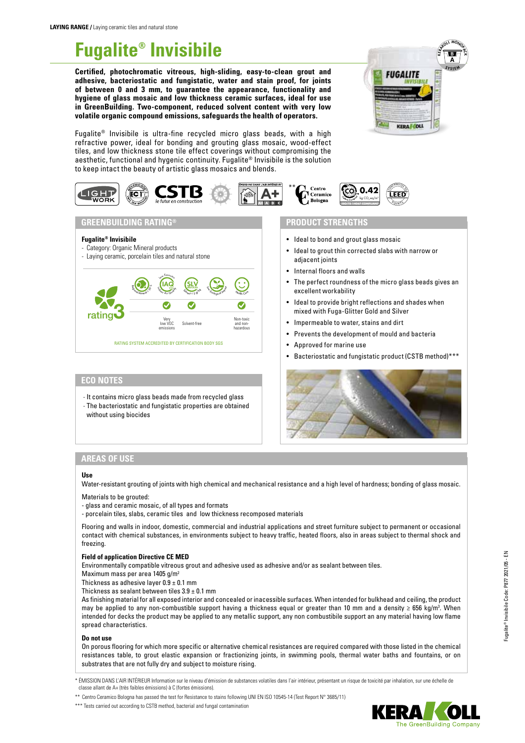# **Fugalite® Invisibile**

**Certified, photochromatic vitreous, high-sliding, easy-to-clean grout and adhesive, bacteriostatic and fungistatic, water and stain proof, for joints of between 0 and 3 mm, to guarantee the appearance, functionality and hygiene of glass mosaic and low thickness ceramic surfaces, ideal for use in GreenBuilding. Two-component, reduced solvent content with very low volatile organic compound emissions, safeguards the health of operators.**



Fugalite® Invisibile is ultra-fine recycled micro glass beads, with a high refractive power, ideal for bonding and grouting glass mosaic, wood-effect tiles, and low thickness stone tile effect coverings without compromising the aesthetic, functional and hygenic continuity. Fugalite® Invisibile is the solution to keep intact the beauty of artistic glass mosaics and blends.



#### **GREENBUILDING RATING®**

- **Fugalite® Invisibile**
- Category: Organic Mineral products
- Laying ceramic, porcelain tiles and natural stone



#### **ECO NOTES**

- It contains micro glass beads made from recycled glass - The bacteriostatic and fungistatic properties are obtained without using biocides

### **PRODUCT STRENGTHS**

- Ideal to bond and grout glass mosaic
- Ideal to grout thin corrected slabs with narrow or adjacent joints
- Internal floors and walls
- The perfect roundness of the micro glass beads gives an excellent workability
- Ideal to provide bright reflections and shades when mixed with Fuga-Glitter Gold and Silver
- Impermeable to water, stains and dirt
- Prevents the development of mould and bacteria
- Approved for marine use
- Bacteriostatic and fungistatic product (CSTB method)\*\*\*



#### **AREAS OF USE**

#### **Use**

Water-resistant grouting of joints with high chemical and mechanical resistance and a high level of hardness; bonding of glass mosaic.

Materials to be grouted:

- glass and ceramic mosaic, of all types and formats
- porcelain tiles, slabs, ceramic tiles and low thickness recomposed materials

Flooring and walls in indoor, domestic, commercial and industrial applications and street furniture subject to permanent or occasional contact with chemical substances, in environments subject to heavy traffic, heated floors, also in areas subject to thermal shock and freezing.

#### **Field of application Directive CE MED**

Environmentally compatible vitreous grout and adhesive used as adhesive and/or as sealant between tiles.

Maximum mass per area 1405 g/m2

Thickness as adhesive layer  $0.9 \pm 0.1$  mm

Thickness as sealant between tiles  $3.9 \pm 0.1$  mm

As finishing material for all exposed interior and concealed or inacessible surfaces. When intended for bulkhead and ceiling, the product may be applied to any non-combustible support having a thickness equal or greater than 10 mm and a density ≥ 656 kg/m<sup>3</sup>. When intended for decks the product may be applied to any metallic support, any non combustibile support an any material having low flame spread characteristics.

#### **Do not use**

On porous flooring for which more specific or alternative chemical resistances are required compared with those listed in the chemical resistances table, to grout elastic expansion or fractionizing joints, in swimming pools, thermal water baths and fountains, or on substrates that are not fully dry and subject to moisture rising.

\* ÉMISSION DANS L'AIR INTÉRIEUR Information sur le niveau d'émission de substances volatiles dans l'air intérieur, présentant un risque de toxicité par inhalation, sur une échelle de classe allant de A+ (très faibles émissions) à C (fortes émissions).

\*\* Centro Ceramico Bologna has passed the test for Resistance to stains following UNI EN ISO 10545-14 (Test Report N° 3685/11)

\*\*\* Tests carried out according to CSTB method, bacterial and fungal contamination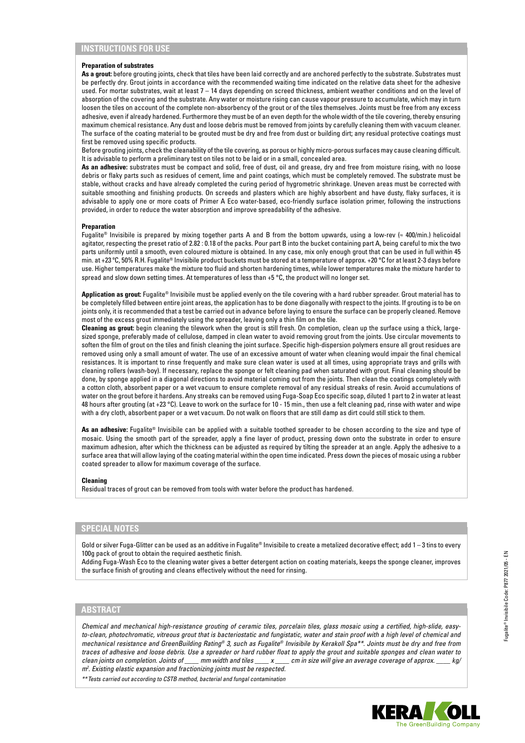#### **Preparation of substrates**

As a grout: before grouting joints, check that tiles have been laid correctly and are anchored perfectly to the substrate. Substrates must be perfectly dry. Grout joints in accordance with the recommended waiting time indicated on the relative data sheet for the adhesive used. For mortar substrates, wait at least 7 – 14 days depending on screed thickness, ambient weather conditions and on the level of absorption of the covering and the substrate. Any water or moisture rising can cause vapour pressure to accumulate, which may in turn loosen the tiles on account of the complete non-absorbency of the grout or of the tiles themselves. Joints must be free from any excess adhesive, even if already hardened. Furthermore they must be of an even depth for the whole width of the tile covering, thereby ensuring maximum chemical resistance. Any dust and loose debris must be removed from joints by carefully cleaning them with vacuum cleaner. The surface of the coating material to be grouted must be dry and free from dust or building dirt; any residual protective coatings must first be removed using specific products.

Before grouting joints, check the cleanability of the tile covering, as porous or highly micro-porous surfaces may cause cleaning difficult. It is advisable to perform a preliminary test on tiles not to be laid or in a small, concealed area.

**As an adhesive:** substrates must be compact and solid, free of dust, oil and grease, dry and free from moisture rising, with no loose debris or flaky parts such as residues of cement, lime and paint coatings, which must be completely removed. The substrate must be stable, without cracks and have already completed the curing period of hygrometric shrinkage. Uneven areas must be corrected with suitable smoothing and finishing products. On screeds and plasters which are highly absorbent and have dusty, flaky surfaces, it is advisable to apply one or more coats of Primer A Eco water-based, eco-friendly surface isolation primer, following the instructions provided, in order to reduce the water absorption and improve spreadability of the adhesive.

#### **Preparation**

Fugalite® Invisibile is prepared by mixing together parts A and B from the bottom upwards, using a low-rev (≈ 400/min.) helicoidal agitator, respecting the preset ratio of 2.82 : 0.18 of the packs. Pour part B into the bucket containing part A, being careful to mix the two parts uniformly until a smooth, even coloured mixture is obtained. In any case, mix only enough grout that can be used in full within 45 min. at +23 ºC, 50% R.H. Fugalite® Invisibile product buckets must be stored at a temperature of approx. +20 °C for at least 2-3 days before use. Higher temperatures make the mixture too fluid and shorten hardening times, while lower temperatures make the mixture harder to spread and slow down setting times. At temperatures of less than +5 °C, the product will no longer set.

**Application as grout:** Fugalite® Invisibile must be applied evenly on the tile covering with a hard rubber spreader. Grout material has to be completely filled between entire joint areas, the application has to be done diagonally with respect to the joints. If grouting is to be on joints only, it is recommended that a test be carried out in advance before laying to ensure the surface can be properly cleaned. Remove most of the excess grout immediately using the spreader, leaving only a thin film on the tile.

**Cleaning as grout:** begin cleaning the tilework when the grout is still fresh. On completion, clean up the surface using a thick, largesized sponge, preferably made of cellulose, damped in clean water to avoid removing grout from the joints. Use circular movements to soften the film of grout on the tiles and finish cleaning the joint surface. Specific high-dispersion polymers ensure all grout residues are removed using only a small amount of water. The use of an excessive amount of water when cleaning would impair the final chemical resistances. It is important to rinse frequently and make sure clean water is used at all times, using appropriate trays and grills with cleaning rollers (wash-boy). If necessary, replace the sponge or felt cleaning pad when saturated with grout. Final cleaning should be done, by sponge applied in a diagonal directions to avoid material coming out from the joints. Then clean the coatings completely with a cotton cloth, absorbent paper or a wet vacuum to ensure complete removal of any residual streaks of resin. Avoid accumulations of water on the grout before it hardens. Any streaks can be removed using Fuga-Soap Eco specific soap, diluted 1 part to 2 in water at least 48 hours after grouting (at +23 °C). Leave to work on the surface for 10 - 15 min., then use a felt cleaning pad, rinse with water and wipe with a dry cloth, absorbent paper or a wet vacuum. Do not walk on floors that are still damp as dirt could still stick to them.

**As an adhesive:** Fugalite® Invisibile can be applied with a suitable toothed spreader to be chosen according to the size and type of mosaic. Using the smooth part of the spreader, apply a fine layer of product, pressing down onto the substrate in order to ensure maximum adhesion, after which the thickness can be adjusted as required by tilting the spreader at an angle. Apply the adhesive to a surface area that will allow laying of the coating material within the open time indicated. Press down the pieces of mosaic using a rubber coated spreader to allow for maximum coverage of the surface.

#### **Cleaning**

Residual traces of grout can be removed from tools with water before the product has hardened.

#### **SPECIAL NOTES**

Gold or silver Fuga-Glitter can be used as an additive in Fugalite® Invisibile to create a metalized decorative effect; add 1-3 tins to every 100g pack of grout to obtain the required aesthetic finish.

Adding Fuga-Wash Eco to the cleaning water gives a better detergent action on coating materials, keeps the sponge cleaner, improves the surface finish of grouting and cleans effectively without the need for rinsing.

#### **ABSTRACT**

*Chemical and mechanical high-resistance grouting of ceramic tiles, porcelain tiles, glass mosaic using a certified, high-slide, easyto-clean, photochromatic, vitreous grout that is bacteriostatic and fungistatic, water and stain proof with a high level of chemical and mechanical resistance and GreenBuilding Rating® 3, such as Fugalite® Invisibile by Kerakoll Spa\*\*. Joints must be dry and free from traces of adhesive and loose debris. Use a spreader or hard rubber float to apply the grout and suitable sponges and clean water to clean joints on completion. Joints of \_\_\_\_ mm width and tiles \_\_\_\_ x \_\_\_\_ cm in size will give an average coverage of approx. \_\_\_\_ kg/ m2 . Existing elastic expansion and fractionizing joints must be respected.*

*\*\*Tests carried out according to CSTB method, bacterial and fungal contamination*

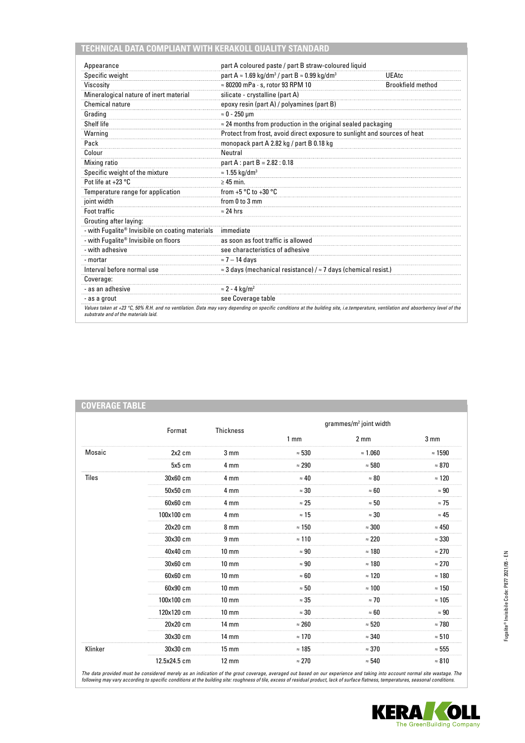## **TECHNICAL DATA COMPLIANT WITH KERAKOLL QUALITY STANDARD**

**COVERAGE TABLE** 

| Appearance                                       | part A coloured paste / part B straw-coloured liquid                                |                          |
|--------------------------------------------------|-------------------------------------------------------------------------------------|--------------------------|
| Specific weight                                  | part A $\approx$ 1.69 kg/dm <sup>3</sup> / part B $\approx$ 0.99 kg/dm <sup>3</sup> | UEAtc                    |
| Viscosity                                        | $\approx 80200$ mPa $\cdot$ s, rotor 93 RPM 10                                      | <b>Brookfield method</b> |
| Mineralogical nature of inert material           | silicate - crystalline (part A)                                                     |                          |
| <b>Chemical nature</b>                           | epoxy resin (part A) / polyamines (part B)                                          |                          |
| Grading                                          | $\approx 0$ - 250 µm                                                                |                          |
| Shelf life                                       | $\approx$ 24 months from production in the original sealed packaging                |                          |
| Warning                                          | Protect from frost, avoid direct exposure to sunlight and sources of heat           |                          |
| Pack                                             | monopack part A 2.82 kg / part B 0.18 kg                                            |                          |
| Colour                                           | Neutral                                                                             |                          |
| <b>Mixing ratio</b>                              | part A : part B = 2.82 : 0.18                                                       |                          |
| Specific weight of the mixture                   | $\approx$ 1.55 kg/dm <sup>3</sup>                                                   |                          |
| Pot life at $+23$ °C                             | $\geq 45$ min.                                                                      |                          |
| Temperature range for application                | from +5 $^{\circ}$ C to +30 $^{\circ}$ C                                            |                          |
| joint width                                      | from 0 to 3 mm                                                                      |                          |
| Foot traffic                                     | $\approx$ 24 hrs                                                                    |                          |
| Grouting after laying:                           |                                                                                     |                          |
| - with Fugalite® Invisibile on coating materials | immediate                                                                           |                          |
| - with Fugalite® Invisibile on floors            | as soon as foot traffic is allowed                                                  |                          |
| - with adhesive                                  | see characteristics of adhesive                                                     |                          |
| - mortar                                         | $\approx$ 7 – 14 days                                                               |                          |
| Interval before normal use                       | $\approx$ 3 days (mechanical resistance) / $\approx$ 7 days (chemical resist.)      |                          |
| Coverage:                                        |                                                                                     |                          |
| - as an adhesive                                 | $\approx$ 2 - 4 kg/m <sup>2</sup>                                                   |                          |
| - as a grout                                     | see Coverage table                                                                  |                          |

|         | Format                      | Thickness         |                 | grammes/m <sup>2</sup> joint width |                 |
|---------|-----------------------------|-------------------|-----------------|------------------------------------|-----------------|
|         |                             |                   | 1 <sub>mm</sub> | $2 \, \text{mm}$                   | 3 <sub>mm</sub> |
| Mosaic  | 2x2 cm                      | 3 <sub>mm</sub>   | $\approx 530$   | $\approx 1.060$                    | $\approx 1590$  |
|         | 5x5 cm                      | 4 mm              | $\approx 290$   | $\approx 580$                      | $\approx 870$   |
| Tiles   | 30x60 cm                    | 4 mm              | $\approx 40$    | $\approx 80$                       | $\approx$ 120   |
|         | 50x50 cm                    | 4 mm              | $\approx 30$    | $\approx 60$                       | $\approx 90$    |
|         | 60x60 cm                    | 4 mm              | $\approx 25$    | $\approx 50$                       | $\approx$ 75    |
|         | 100x100 cm                  | 4 mm              | $\approx$ 15    | $\approx 30$                       | $\approx 45$    |
|         | 20x20 cm                    | 8 <sub>mm</sub>   | $\approx 150$   | $\approx 300$                      | $\approx 450$   |
|         | 30x30 cm                    | 9 <sub>mm</sub>   | $\approx$ 110   | $\approx 220$                      | $\approx 330$   |
|         | 40x40 cm                    | $10 \text{ mm}$   | $\approx 90$    | $\approx 180$                      | $\approx 270$   |
|         | 30x60 cm                    | $10 \text{ mm}$   | $\approx 90$    | $\approx 180$                      | $\approx 270$   |
|         | 60x60 cm                    | $10 \text{ mm}$   | $\approx 60$    | $\approx 120$                      | $\approx$ 180   |
|         | 60x90 cm<br>$10 \text{ mm}$ |                   | $\approx 50$    | $\approx 100$                      | $\approx$ 150   |
|         | 100x100 cm                  | $10 \text{ mm}$   | $\approx 35$    | $\approx$ 70                       | $\approx 105$   |
|         | 120x120 cm                  | $10 \text{ mm}$   | $\approx 30$    | $\approx 60$                       | $\approx 90$    |
|         | 20x20 cm                    | <b>14 mm</b>      | $\approx 260$   | $\approx 520$                      | $\approx$ 780   |
|         | 30x30 cm                    | 14 mm             | $\approx 170$   | $\approx 340$                      | $\approx 510$   |
| Klinker | 30x30 cm                    | $15 \text{ mm}$   | $\approx 185$   | $\approx 370$                      | $\approx 555$   |
|         | 12.5x24.5 cm                | $12 \, \text{mm}$ | $\approx 270$   | $\approx 540$                      | $\approx 810$   |

The data provided must be considered merely as an indication of the grout coverage, averaged out based on our experience and taking into account normal site wastage. The<br>following may vary according to specific conditions

**KERA OLL** The GreenBuilding Company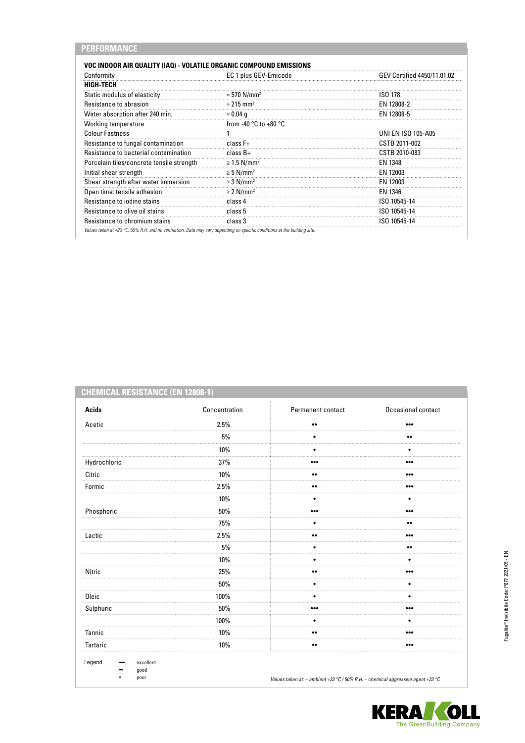| <b>VOC INDOOR AIR QUALITY (IAQ) - VOLATILE ORGANIC COMPOUND EMISSIONS</b> |                                           |                             |
|---------------------------------------------------------------------------|-------------------------------------------|-----------------------------|
| Conformity                                                                | EC 1 plus GEV-Emicode                     | GEV Certified 4450/11.01.02 |
| <b>HIGH-TECH</b>                                                          |                                           |                             |
| Static modulus of elasticity                                              | $\approx$ 570 N/mm <sup>2</sup>           | <b>ISO 178</b>              |
| Resistance to abrasion                                                    | $\approx$ 215 mm <sup>3</sup>             | EN 12808-2                  |
| Water absorption after 240 min.                                           | $\approx 0.04$ q                          | EN 12808-5                  |
| <b>Working temperature</b>                                                | from -40 $^{\circ}$ C to +80 $^{\circ}$ C |                             |
| <b>Colour Fastness</b>                                                    |                                           | <b>UNI EN ISO 105-A05</b>   |
| Resistance to fungal contamination                                        | $class F+$                                | CSTB 2011-002               |
| Resistance to bacterial contamination                                     | $class B+$                                | CSTB 2010-083               |
| Porcelain tiles/concrete tensile strength                                 | $\geq$ 1.5 N/mm <sup>2</sup>              | EN 1348                     |
| Initial shear strength                                                    | $\geq$ 5 N/mm <sup>2</sup>                | EN 12003                    |
| Shear strength after water immersion                                      | $\geq$ 3 N/mm <sup>2</sup>                | EN 12003                    |
| Open time: tensile adhesion                                               | $\geq$ 2 N/mm <sup>2</sup>                | EN 1346                     |
| Resistance to jodine stains                                               | class 4                                   | ISO 10545-14                |
| Resistance to olive oil stains                                            | class 5                                   | ISO 10545-14                |
| Resistance to chromium stains                                             | class 3                                   | ISO 10545-14                |

# **CHEMICAL RESISTANCE (EN 12808-1)**

| <b>Acids</b> | Concentration | Permanent contact       | Occasional contact      |
|--------------|---------------|-------------------------|-------------------------|
| Acetic       | 2.5%          | $\bullet\bullet$        | $\bullet\bullet\bullet$ |
|              | $5\%$         | $\bullet$               | $\bullet\bullet$        |
|              | 10%           |                         |                         |
| Hydrochloric | 37%           | $\bullet\bullet\bullet$ | $\bullet\bullet\bullet$ |
| Citric       | 10%           | $\bullet\bullet$        | $\bullet\bullet\bullet$ |
| Formic       | 2.5%          | $\bullet\bullet$        |                         |
|              | 10%           | ٠                       | ٠                       |
| Phosphoric   | 50%           | $\bullet\bullet\bullet$ | $\bullet\bullet\bullet$ |
|              | 75%           | $\bullet$               | $\bullet\bullet$        |
| Lactic       | 2.5%          | $\bullet\bullet$        |                         |
|              | 5%            | ٠                       | $\bullet\bullet$        |
|              | $10\%$        | $\bullet$               | ٠                       |
| Nitric       | 25%           | $\bullet\bullet$        | $\bullet\bullet\bullet$ |
|              | 50%           | $\bullet$               | ٠                       |
| Oleic        | 100%          |                         | ٠                       |
| Sulphuric    | 50%           | $\bullet\bullet\bullet$ | $\bullet\bullet\bullet$ |
|              | 100%          | ٠                       | ٠                       |
| Tannic       | $10\%$        | $\bullet\bullet$        |                         |
| Tartaric     | 10%           | $\bullet\bullet$        | $\bullet\bullet\bullet$ |

KERA OLI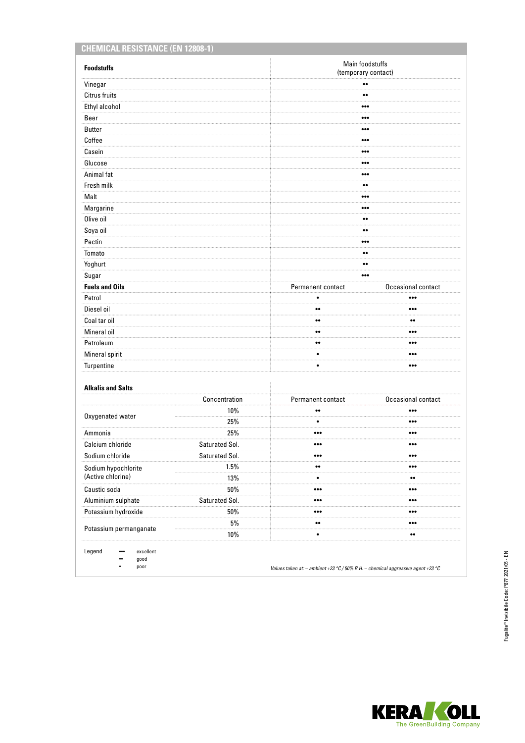| <b>CHEMICAL RESISTANCE (EN 12808-1)</b> |                |                                             |                         |  |
|-----------------------------------------|----------------|---------------------------------------------|-------------------------|--|
| <b>Foodstuffs</b>                       |                | Main foodstuffs<br>(temporary contact)      |                         |  |
| Vinegar                                 |                | $\bullet\bullet$                            |                         |  |
| Citrus fruits                           |                | $\bullet\bullet$                            |                         |  |
| Ethyl alcohol                           |                | $\bullet\bullet\bullet$                     |                         |  |
| Beer                                    |                | $\bullet\bullet\bullet$                     |                         |  |
| <b>Butter</b>                           |                | $\bullet\bullet\bullet$                     |                         |  |
| Coffee                                  |                | $\bullet\bullet\bullet$                     |                         |  |
| Casein                                  |                | $\bullet\bullet\bullet$                     |                         |  |
| Glucose                                 |                |                                             |                         |  |
| Animal fat                              |                | $\bullet\bullet\bullet$                     |                         |  |
| Fresh milk                              |                | $\bullet\bullet$                            |                         |  |
| Malt                                    |                | $\bullet\bullet\bullet$                     |                         |  |
| Margarine                               |                |                                             |                         |  |
| Olive oil                               |                | $\bullet\bullet$                            |                         |  |
| Soya oil                                |                | $\bullet\bullet$                            |                         |  |
| Pectin                                  |                | $\bullet\bullet\bullet$                     |                         |  |
| Tomato                                  |                | $^{\bullet}$                                |                         |  |
| Yoghurt                                 |                | $\bullet\bullet$                            |                         |  |
| Sugar                                   |                | $\bullet\bullet\bullet$                     |                         |  |
| <b>Fuels and Oils</b>                   |                | Permanent contact                           | Occasional contact      |  |
| Petrol                                  |                | $\bullet$                                   | $\bullet\bullet\bullet$ |  |
| Diesel oil                              |                | $\bullet\bullet$                            | $\bullet\bullet\bullet$ |  |
| Coal tar oil                            |                | $\bullet\bullet$<br>$\bullet\bullet$        |                         |  |
| Mineral oil                             |                | $\bullet\bullet$<br>$\bullet\bullet\bullet$ |                         |  |
| Petroleum                               |                | $\bullet\bullet$                            |                         |  |
| Mineral spirit                          |                | $\bullet$                                   | $\bullet\bullet\bullet$ |  |
| Turpentine                              |                | $\bullet$                                   | $\bullet\bullet\bullet$ |  |
| <b>Alkalis and Salts</b>                |                |                                             |                         |  |
|                                         | Concentration  | Permanent contact                           | Occasional contact      |  |
|                                         | 10%            | $\bullet\bullet$                            | $\bullet\bullet\bullet$ |  |
| Oxygenated water                        | 25%            | ٠                                           | $\bullet\bullet\bullet$ |  |
| Ammonia                                 | 25%            |                                             |                         |  |
| Calcium chloride                        | Saturated Sol. | $\bullet\bullet\bullet$                     | $\bullet\bullet\bullet$ |  |
| Sodium chloride                         | Saturated Sol. | $\bullet\bullet\bullet$                     | $\bullet\bullet\bullet$ |  |
| Sodium hypochlorite                     | 1.5%           | $\bullet\bullet$                            | $\bullet\bullet\bullet$ |  |
| (Active chlorine)                       | 13%            | $\bullet$                                   | $\bullet\bullet$        |  |
| Caustic soda                            | $50\%$         | $\bullet\bullet\bullet$                     | $\bullet\bullet\bullet$ |  |
| Aluminium sulphate                      | Saturated Sol. | $\bullet\bullet\bullet$                     | $\bullet\bullet\bullet$ |  |
| Potassium hydroxide                     | 50%            | $\bullet\bullet\bullet$                     | $\bullet\bullet\bullet$ |  |
|                                         | $5\%$          | $\bullet\bullet$                            | $\bullet\bullet\bullet$ |  |
| Potassium permanganate                  | $10\%$         | $\bullet$                                   | $\bullet\bullet$        |  |

Legend ••• excellent

•• good

• poor

*Values taken at: – ambient +23 °C / 50% R.H. – chemical aggressive agent +23 °C*